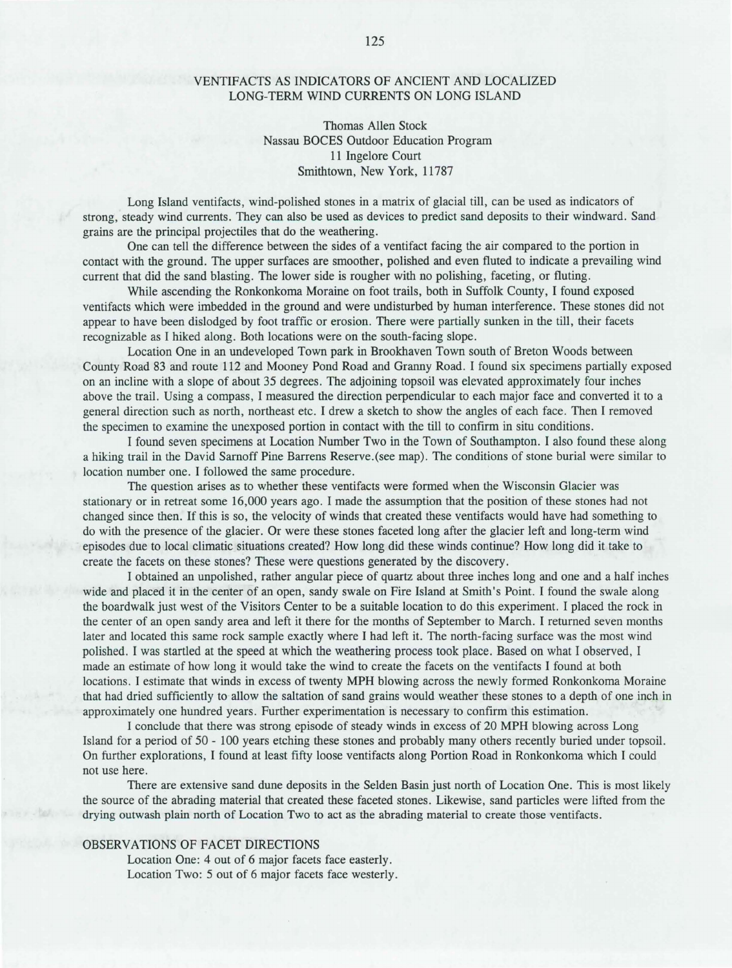## VENTIFACTS AS INDICATORS OF ANCIENT AND LOCALIZED LONG-TERM WIND CURRENTS ON LONG ISLAND

Thomas Allen Stock Nassau BOCES Outdoor Education Program 11 Ingelore Court Smithtown, New York, 11787

Long Island ventifacts, wind-polished stones in a matrix of glacial till, can be used as indicators of strong, steady wind currents. They can also be used as devices to predict sand deposits to their windward. Sand grains are the principal projectiles that do the weathering.

One can tell the difference between the sides of a ventifact facing the air compared to the portion in contact with the ground. The upper surfaces are smoother, polished and even fluted to indicate a prevailing wind current that did the sand blasting. The lower side is rougher with no polishing, faceting, or fluting.

While ascending the Ronkonkoma Moraine on foot trails, both in Suffolk County, I found exposed ventifacts which were imbedded in the ground and were undisturbed by human interference. These stones did not appear to have been dislodged by foot traffic or erosion. There were partially sunken in the till, their facets recognizable as I hiked along. Both locations were on the south-facing slope.

Location One in an undeveloped Town park in Brookhaven Town south of Breton Woods between County Road 83 and route 112 and Mooney Pond Road and Granny Road. I found six specimens partially exposed on an incline with a slope of about 35 degrees. The adjoining topsoil was elevated approximately four inches above the trail. Using a compass, I measured the direction perpendicular to each major face and converted it to a general direction such as north, northeast etc. I drew a sketch to show the angles of each face. Then I removed the specimen to examine the unexposed portion in contact with the till to confirm in situ conditions.

I found seven specimens at Location Number Two in the Town of Southampton. I also found these along a hiking trail in the David Sarnoff Pine Barrens Reserve.(see map). The conditions of stone burial were similar to location number one. I followed the same procedure.

The question arises as to whether these ventifacts were formed when the Wisconsin Glacier was stationary or in retreat some 16,000 years ago. I made the assumption that the position of these stones had not changed since then. If this is so, the velocity of winds that created these ventifacts would have had something to do with the presence of the glacier. Or were these stones faceted long after the glacier left and long-term wind episodes due to local climatic situations created? How long did these winds continue? How long did it take to create the facets on these stones? These were questions generated by the discovery.

I obtained an unpolished, rather angular piece of quartz about three inches long and one and a half inches wide and placed it in the center of an open, sandy swale on Fire Island at Smith's Point. I found the swale along the boardwalk just west of the Visitors Center to be a suitable location to do this experiment. I placed the rock in the center of an open sandy area and left it there for the months of September to March. I returned seven months later and located this same rock sample exactly where I had left it. The north-facing surface was the most wind polished. I was startled at the speed at which the weathering process took place. Based on what I observed, I made an estimate of how long it would take the wind to create the facets on the ventifacts I found at both locations. I estimate that winds in excess of twenty MPH blowing across the newly formed Ronkonkoma Moraine that had dried sufficiently to allow the saltation of sand grains would weather these stones to a depth of one inch in approximately one hundred years. Further experimentation is necessary to confirm this estimation.

I conclude that there was strong episode of steady winds in excess of 20 MPH blowing across Long Island for a period of 50 - 100 years etching these stones and probably many others recently buried under topsoil. On further explorations, I found at least fifty loose ventifacts along Portion Road in Ronkonkoma which I could not use here.

There are extensive sand dune deposits in the Selden Basin just north of Location One. This is most likely the source of the abrading material that created these faceted stones. Likewise, sand particles were lifted from the drying outwash plain north of Location Two to act as the abrading material to create those ventifacts.

## OBSERVATIONS OF FACET DIRECTIONS

Location One: 4 out of 6 major facets face easterly. Location Two: 5 out of 6 major facets face westerly.